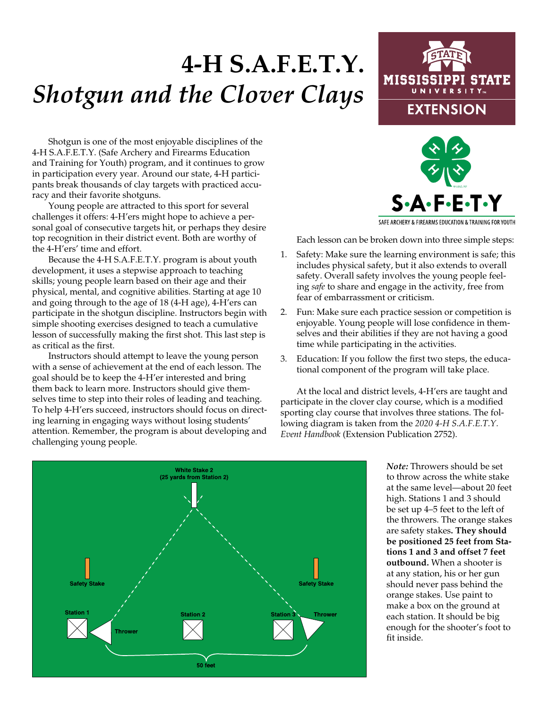## **4-H S.A.F.E.T.Y.** *Shotgun and the Clover Clays*

## MISSISSIPPI STATE UNIVERSI **EXTENSION**

Shotgun is one of the most enjoyable disciplines of the 4-H S.A.F.E.T.Y. (Safe Archery and Firearms Education and Training for Youth) program, and it continues to grow in participation every year. Around our state, 4-H participants break thousands of clay targets with practiced accuracy and their favorite shotguns.

Young people are attracted to this sport for several challenges it offers: 4-H'ers might hope to achieve a personal goal of consecutive targets hit, or perhaps they desire top recognition in their district event. Both are worthy of the 4-H'ers' time and effort.

Because the 4-H S.A.F.E.T.Y. program is about youth development, it uses a stepwise approach to teaching skills; young people learn based on their age and their physical, mental, and cognitive abilities. Starting at age 10 and going through to the age of 18 (4-H age), 4-H'ers can participate in the shotgun discipline. Instructors begin with simple shooting exercises designed to teach a cumulative lesson of successfully making the first shot. This last step is as critical as the first.

Instructors should attempt to leave the young person with a sense of achievement at the end of each lesson. The goal should be to keep the 4-H'er interested and bring them back to learn more. Instructors should give themselves time to step into their roles of leading and teaching. To help 4-H'ers succeed, instructors should focus on directing learning in engaging ways without losing students' attention. Remember, the program is about developing and challenging young people.



SAFE ARCHERY & FIREARMS EDUCATION & TRAINING FOR YOUTH

Each lesson can be broken down into three simple steps:

- . Safety: Make sure the learning environment is safe; this includes physical safety, but it also extends to overall safety. Overall safety involves the young people feeling *safe* to share and engage in the activity, free from fear of embarrassment or criticism. 1
- . Fun: Make sure each practice session or competition is enjoyable. Young people will lose confidence in themselves and their abilities if they are not having a good time while participating in the activities. 2.
- . Education: If you follow the first two steps, the educational component of the program will take place. 3.

At the local and district levels, 4-H'ers are taught and participate in the clover clay course, which is a modified sporting clay course that involves three stations. The following diagram is taken from the 2020 4-H S.A.F.E.T.Y. Event Handbook (Extension Publication 2752).



*Note:* Throwers should be set to throw across the white stake at the same level—about 20 feet high. Stations 1 and 3 should be set up 4–5 feet to the left of the throwers. The orange stakes are safety stakes**. They should be positioned 25 feet from Stations 1 and 3 and offset 7 feet outbound.** When a shooter is at any station, his or her gun should never pass behind the orange stakes. Use paint to make a box on the ground at each station. It should be big enough for the shooter's foot to fit inside.